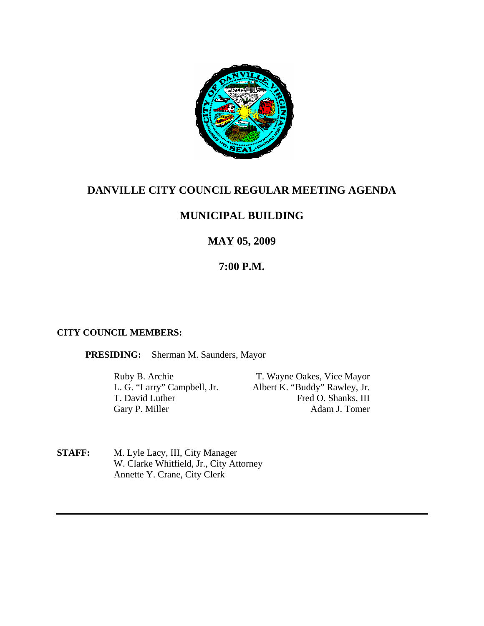

## **DANVILLE CITY COUNCIL REGULAR MEETING AGENDA**

## **MUNICIPAL BUILDING**

# **MAY 05, 2009**

# **7:00 P.M.**

## **CITY COUNCIL MEMBERS:**

**PRESIDING:** Sherman M. Saunders, Mayor

Gary P. Miller

Ruby B. Archie T. Wayne Oakes, Vice Mayor L. G. "Larry" Campbell, Jr. Albert K. "Buddy" Rawley, Jr. T. David Luther Fred O. Shanks, III<br>Garv P. Miller Adam J. Tomer

**STAFF:** M. Lyle Lacy, III, City Manager W. Clarke Whitfield, Jr., City Attorney Annette Y. Crane, City Clerk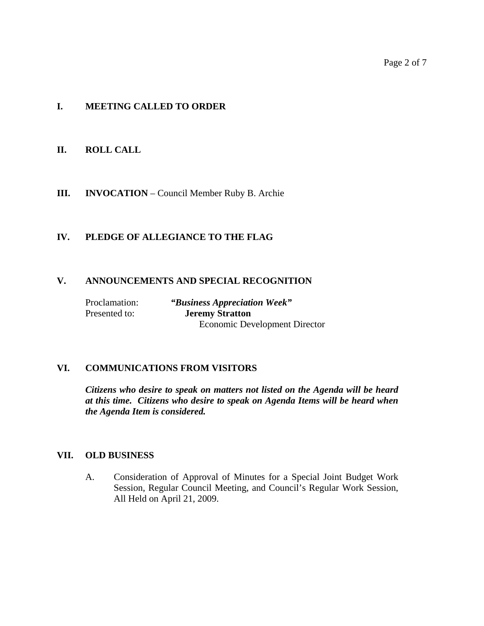#### **I. MEETING CALLED TO ORDER**

#### **II. ROLL CALL**

**III. INVOCATION** – Council Member Ruby B. Archie

## **IV. PLEDGE OF ALLEGIANCE TO THE FLAG**

#### **V. ANNOUNCEMENTS AND SPECIAL RECOGNITION**

Proclamation: *"Business Appreciation Week"*

 Presented to: **Jeremy Stratton**  Economic Development Director

#### **VI. COMMUNICATIONS FROM VISITORS**

*Citizens who desire to speak on matters not listed on the Agenda will be heard at this time. Citizens who desire to speak on Agenda Items will be heard when the Agenda Item is considered.* 

#### **VII. OLD BUSINESS**

A. Consideration of Approval of Minutes for a Special Joint Budget Work Session, Regular Council Meeting, and Council's Regular Work Session, All Held on April 21, 2009.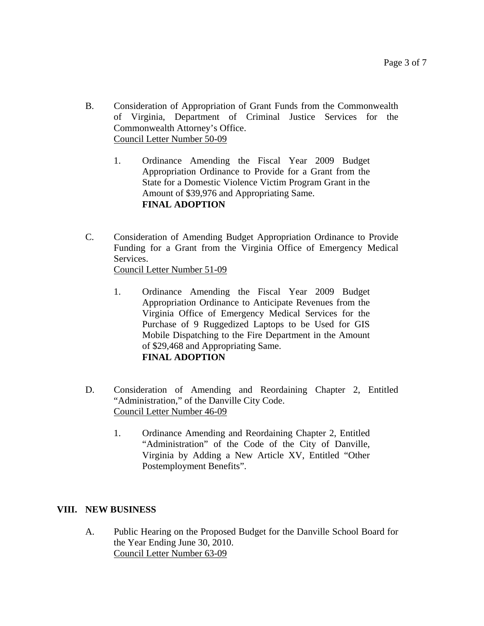- B. Consideration of Appropriation of Grant Funds from the Commonwealth of Virginia, Department of Criminal Justice Services for the Commonwealth Attorney's Office. Council Letter Number 50-09
	- 1. Ordinance Amending the Fiscal Year 2009 Budget Appropriation Ordinance to Provide for a Grant from the State for a Domestic Violence Victim Program Grant in the Amount of \$39,976 and Appropriating Same. **FINAL ADOPTION**
- C. Consideration of Amending Budget Appropriation Ordinance to Provide Funding for a Grant from the Virginia Office of Emergency Medical Services. Council Letter Number 51-09
	- 1. Ordinance Amending the Fiscal Year 2009 Budget Appropriation Ordinance to Anticipate Revenues from the Virginia Office of Emergency Medical Services for the Purchase of 9 Ruggedized Laptops to be Used for GIS Mobile Dispatching to the Fire Department in the Amount of \$29,468 and Appropriating Same. **FINAL ADOPTION**
- D. Consideration of Amending and Reordaining Chapter 2, Entitled "Administration," of the Danville City Code. Council Letter Number 46-09
	- 1. Ordinance Amending and Reordaining Chapter 2, Entitled "Administration" of the Code of the City of Danville, Virginia by Adding a New Article XV, Entitled "Other Postemployment Benefits".

## **VIII. NEW BUSINESS**

A. Public Hearing on the Proposed Budget for the Danville School Board for the Year Ending June 30, 2010. Council Letter Number 63-09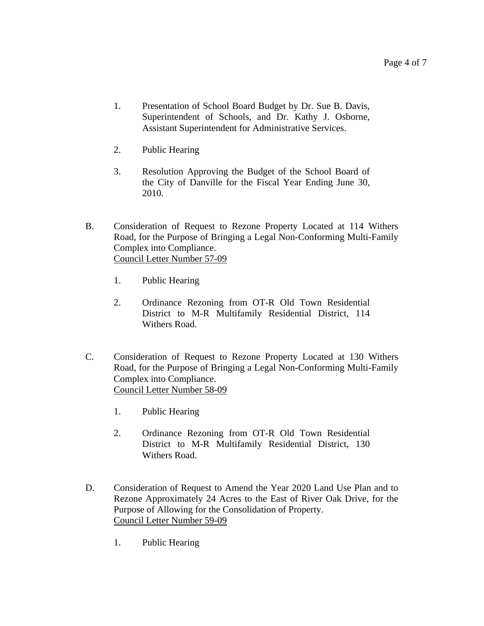- 1. Presentation of School Board Budget by Dr. Sue B. Davis, Superintendent of Schools, and Dr. Kathy J. Osborne, Assistant Superintendent for Administrative Services.
- 2. Public Hearing
- 3. Resolution Approving the Budget of the School Board of the City of Danville for the Fiscal Year Ending June 30, 2010.
- B. Consideration of Request to Rezone Property Located at 114 Withers Road, for the Purpose of Bringing a Legal Non-Conforming Multi-Family Complex into Compliance. Council Letter Number 57-09
	- 1. Public Hearing
	- 2. Ordinance Rezoning from OT-R Old Town Residential District to M-R Multifamily Residential District, 114 Withers Road.
- C. Consideration of Request to Rezone Property Located at 130 Withers Road, for the Purpose of Bringing a Legal Non-Conforming Multi-Family Complex into Compliance. Council Letter Number 58-09
	- 1. Public Hearing
	- 2. Ordinance Rezoning from OT-R Old Town Residential District to M-R Multifamily Residential District, 130 Withers Road.
- D. Consideration of Request to Amend the Year 2020 Land Use Plan and to Rezone Approximately 24 Acres to the East of River Oak Drive, for the Purpose of Allowing for the Consolidation of Property. Council Letter Number 59-09
	- 1. Public Hearing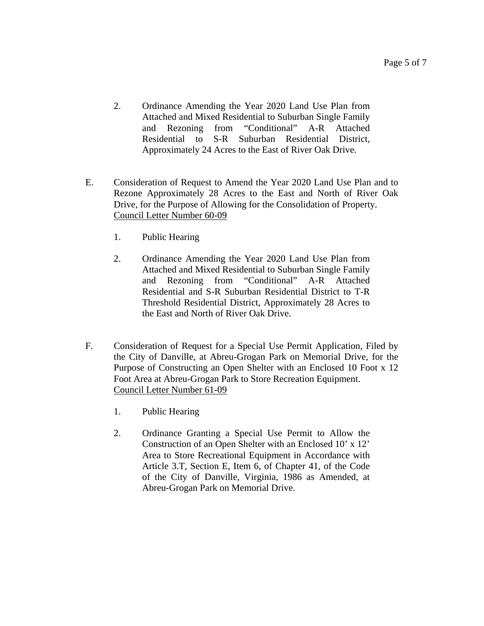- 2. Ordinance Amending the Year 2020 Land Use Plan from Attached and Mixed Residential to Suburban Single Family and Rezoning from "Conditional" A-R Attached Residential to S-R Suburban Residential District, Approximately 24 Acres to the East of River Oak Drive.
- E. Consideration of Request to Amend the Year 2020 Land Use Plan and to Rezone Approximately 28 Acres to the East and North of River Oak Drive, for the Purpose of Allowing for the Consolidation of Property. Council Letter Number 60-09
	- 1. Public Hearing
	- 2. Ordinance Amending the Year 2020 Land Use Plan from Attached and Mixed Residential to Suburban Single Family and Rezoning from "Conditional" A-R Attached Residential and S-R Suburban Residential District to T-R Threshold Residential District, Approximately 28 Acres to the East and North of River Oak Drive.
- F. Consideration of Request for a Special Use Permit Application, Filed by the City of Danville, at Abreu-Grogan Park on Memorial Drive, for the Purpose of Constructing an Open Shelter with an Enclosed 10 Foot x 12 Foot Area at Abreu-Grogan Park to Store Recreation Equipment. Council Letter Number 61-09
	- 1. Public Hearing
	- 2. Ordinance Granting a Special Use Permit to Allow the Construction of an Open Shelter with an Enclosed 10' x 12' Area to Store Recreational Equipment in Accordance with Article 3.T, Section E, Item 6, of Chapter 41, of the Code of the City of Danville, Virginia, 1986 as Amended, at Abreu-Grogan Park on Memorial Drive.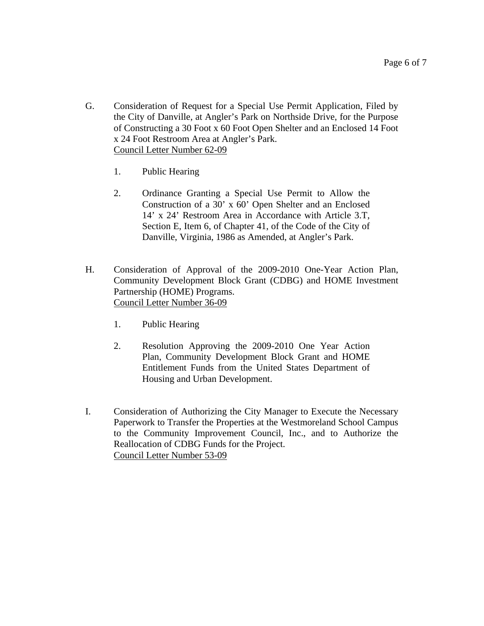- G. Consideration of Request for a Special Use Permit Application, Filed by the City of Danville, at Angler's Park on Northside Drive, for the Purpose of Constructing a 30 Foot x 60 Foot Open Shelter and an Enclosed 14 Foot x 24 Foot Restroom Area at Angler's Park. Council Letter Number 62-09
	- 1. Public Hearing
	- 2. Ordinance Granting a Special Use Permit to Allow the Construction of a 30' x 60' Open Shelter and an Enclosed 14' x 24' Restroom Area in Accordance with Article 3.T, Section E, Item 6, of Chapter 41, of the Code of the City of Danville, Virginia, 1986 as Amended, at Angler's Park.
- H. Consideration of Approval of the 2009-2010 One-Year Action Plan, Community Development Block Grant (CDBG) and HOME Investment Partnership (HOME) Programs. Council Letter Number 36-09
	- 1. Public Hearing
	- 2. Resolution Approving the 2009-2010 One Year Action Plan, Community Development Block Grant and HOME Entitlement Funds from the United States Department of Housing and Urban Development.
- I. Consideration of Authorizing the City Manager to Execute the Necessary Paperwork to Transfer the Properties at the Westmoreland School Campus to the Community Improvement Council, Inc., and to Authorize the Reallocation of CDBG Funds for the Project. Council Letter Number 53-09